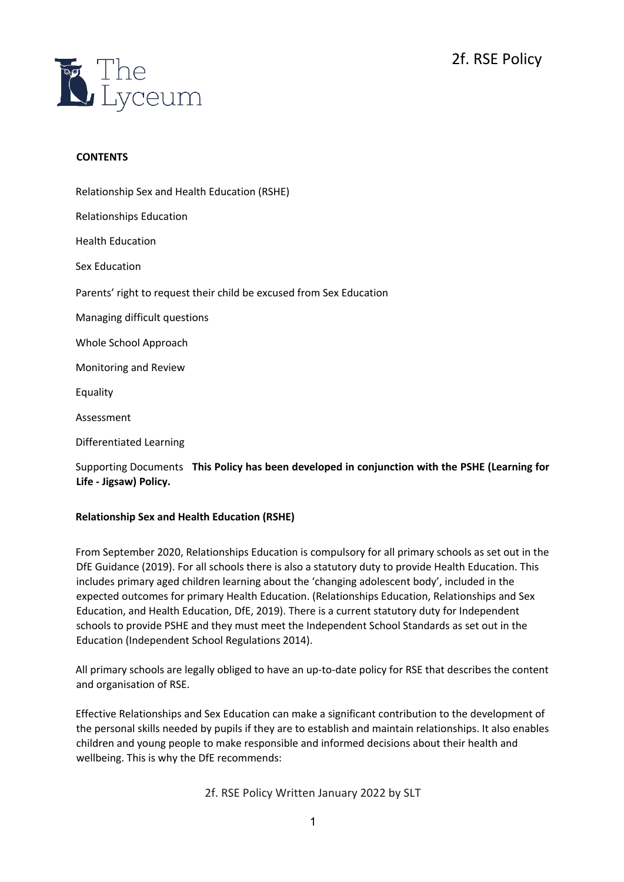

## **CONTENTS**

Relationship Sex and Health Education (RSHE) Relationships Education Health Education Sex Education Parents' right to request their child be excused from Sex Education Managing difficult questions Whole School Approach Monitoring and Review Equality Assessment Differentiated Learning

Supporting Documents **This Policy has been developed in conjunction with the PSHE (Learning for Life - Jigsaw) Policy.** 

# **Relationship Sex and Health Education (RSHE)**

From September 2020, Relationships Education is compulsory for all primary schools as set out in the DfE Guidance (2019). For all schools there is also a statutory duty to provide Health Education. This includes primary aged children learning about the 'changing adolescent body', included in the expected outcomes for primary Health Education. (Relationships Education, Relationships and Sex Education, and Health Education, DfE, 2019). There is a current statutory duty for Independent schools to provide PSHE and they must meet the Independent School Standards as set out in the Education (Independent School Regulations 2014).

All primary schools are legally obliged to have an up-to-date policy for RSE that describes the content and organisation of RSE.

Effective Relationships and Sex Education can make a significant contribution to the development of the personal skills needed by pupils if they are to establish and maintain relationships. It also enables children and young people to make responsible and informed decisions about their health and wellbeing. This is why the DfE recommends: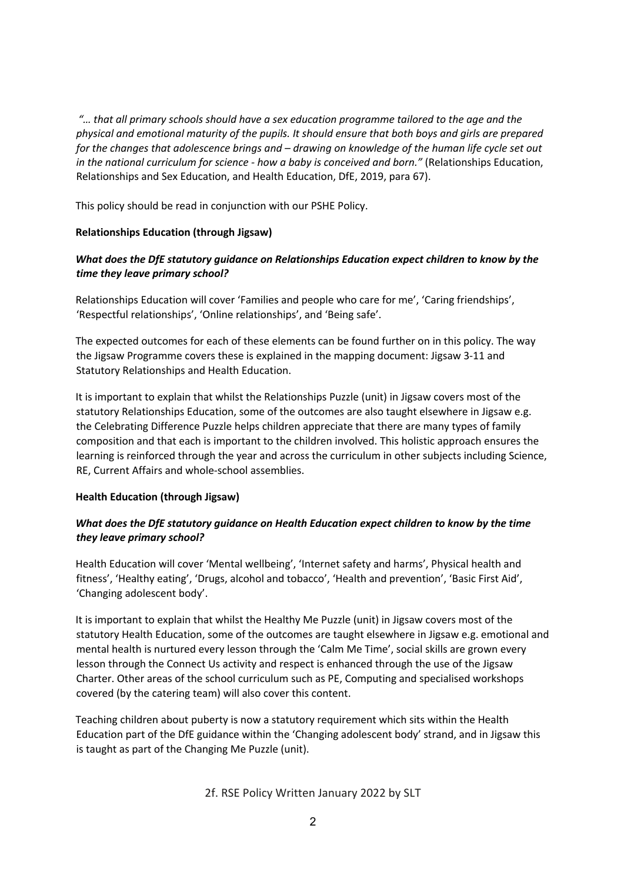*"… that all primary schools should have a sex education programme tailored to the age and the physical and emotional maturity of the pupils. It should ensure that both boys and girls are prepared for the changes that adolescence brings and – drawing on knowledge of the human life cycle set out in the national curriculum for science - how a baby is conceived and born."* (Relationships Education, Relationships and Sex Education, and Health Education, DfE, 2019, para 67).

This policy should be read in conjunction with our PSHE Policy.

## **Relationships Education (through Jigsaw)**

# *What does the DfE statutory guidance on Relationships Education expect children to know by the time they leave primary school?*

Relationships Education will cover 'Families and people who care for me', 'Caring friendships', 'Respectful relationships', 'Online relationships', and 'Being safe'.

The expected outcomes for each of these elements can be found further on in this policy. The way the Jigsaw Programme covers these is explained in the mapping document: Jigsaw 3-11 and Statutory Relationships and Health Education.

It is important to explain that whilst the Relationships Puzzle (unit) in Jigsaw covers most of the statutory Relationships Education, some of the outcomes are also taught elsewhere in Jigsaw e.g. the Celebrating Difference Puzzle helps children appreciate that there are many types of family composition and that each is important to the children involved. This holistic approach ensures the learning is reinforced through the year and across the curriculum in other subjects including Science, RE, Current Affairs and whole-school assemblies.

## **Health Education (through Jigsaw)**

# *What does the DfE statutory guidance on Health Education expect children to know by the time they leave primary school?*

Health Education will cover 'Mental wellbeing', 'Internet safety and harms', Physical health and fitness', 'Healthy eating', 'Drugs, alcohol and tobacco', 'Health and prevention', 'Basic First Aid', 'Changing adolescent body'.

It is important to explain that whilst the Healthy Me Puzzle (unit) in Jigsaw covers most of the statutory Health Education, some of the outcomes are taught elsewhere in Jigsaw e.g. emotional and mental health is nurtured every lesson through the 'Calm Me Time', social skills are grown every lesson through the Connect Us activity and respect is enhanced through the use of the Jigsaw Charter. Other areas of the school curriculum such as PE, Computing and specialised workshops covered (by the catering team) will also cover this content.

Teaching children about puberty is now a statutory requirement which sits within the Health Education part of the DfE guidance within the 'Changing adolescent body' strand, and in Jigsaw this is taught as part of the Changing Me Puzzle (unit).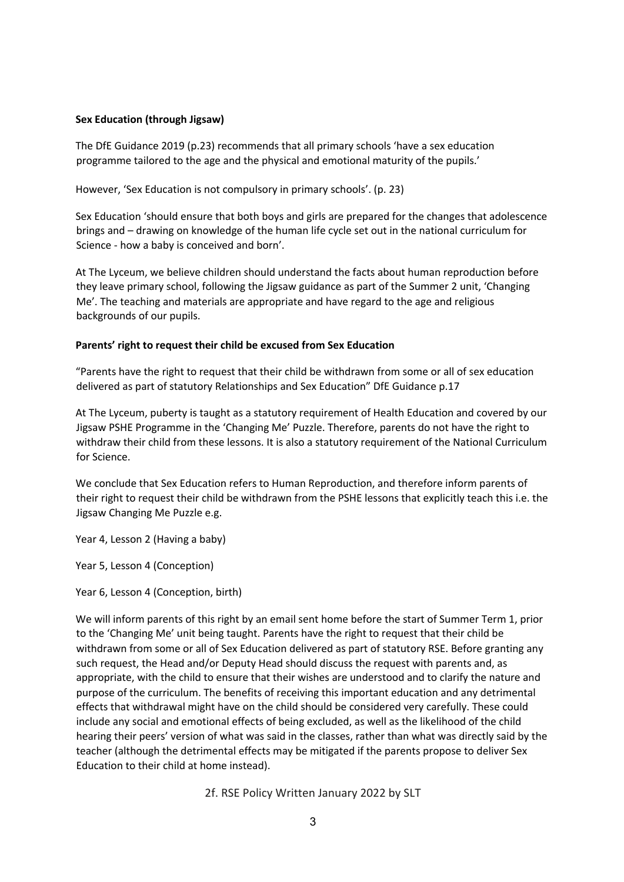### **Sex Education (through Jigsaw)**

The DfE Guidance 2019 (p.23) recommends that all primary schools 'have a sex education programme tailored to the age and the physical and emotional maturity of the pupils.'

However, 'Sex Education is not compulsory in primary schools'. (p. 23)

Sex Education 'should ensure that both boys and girls are prepared for the changes that adolescence brings and – drawing on knowledge of the human life cycle set out in the national curriculum for Science - how a baby is conceived and born'.

At The Lyceum, we believe children should understand the facts about human reproduction before they leave primary school, following the Jigsaw guidance as part of the Summer 2 unit, 'Changing Me'. The teaching and materials are appropriate and have regard to the age and religious backgrounds of our pupils.

#### **Parents' right to request their child be excused from Sex Education**

"Parents have the right to request that their child be withdrawn from some or all of sex education delivered as part of statutory Relationships and Sex Education" DfE Guidance p.17

At The Lyceum, puberty is taught as a statutory requirement of Health Education and covered by our Jigsaw PSHE Programme in the 'Changing Me' Puzzle. Therefore, parents do not have the right to withdraw their child from these lessons. It is also a statutory requirement of the National Curriculum for Science.

We conclude that Sex Education refers to Human Reproduction, and therefore inform parents of their right to request their child be withdrawn from the PSHE lessons that explicitly teach this i.e. the Jigsaw Changing Me Puzzle e.g.

Year 4, Lesson 2 (Having a baby)

Year 5, Lesson 4 (Conception)

Year 6, Lesson 4 (Conception, birth)

We will inform parents of this right by an email sent home before the start of Summer Term 1, prior to the 'Changing Me' unit being taught. Parents have the right to request that their child be withdrawn from some or all of Sex Education delivered as part of statutory RSE. Before granting any such request, the Head and/or Deputy Head should discuss the request with parents and, as appropriate, with the child to ensure that their wishes are understood and to clarify the nature and purpose of the curriculum. The benefits of receiving this important education and any detrimental effects that withdrawal might have on the child should be considered very carefully. These could include any social and emotional effects of being excluded, as well as the likelihood of the child hearing their peers' version of what was said in the classes, rather than what was directly said by the teacher (although the detrimental effects may be mitigated if the parents propose to deliver Sex Education to their child at home instead).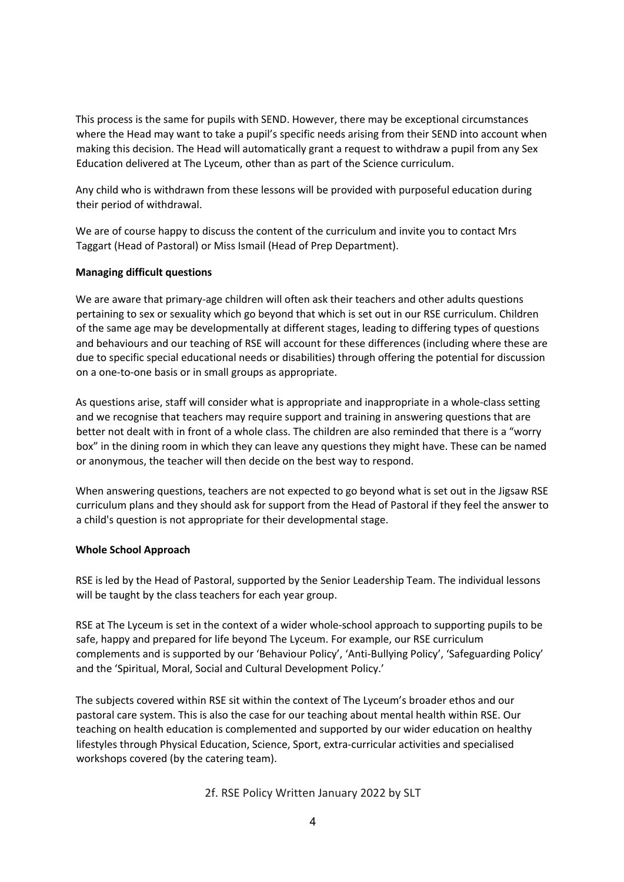This process is the same for pupils with SEND. However, there may be exceptional circumstances where the Head may want to take a pupil's specific needs arising from their SEND into account when making this decision. The Head will automatically grant a request to withdraw a pupil from any Sex Education delivered at The Lyceum, other than as part of the Science curriculum.

Any child who is withdrawn from these lessons will be provided with purposeful education during their period of withdrawal.

We are of course happy to discuss the content of the curriculum and invite you to contact Mrs Taggart (Head of Pastoral) or Miss Ismail (Head of Prep Department).

## **Managing difficult questions**

We are aware that primary-age children will often ask their teachers and other adults questions pertaining to sex or sexuality which go beyond that which is set out in our RSE curriculum. Children of the same age may be developmentally at different stages, leading to differing types of questions and behaviours and our teaching of RSE will account for these differences (including where these are due to specific special educational needs or disabilities) through offering the potential for discussion on a one-to-one basis or in small groups as appropriate.

As questions arise, staff will consider what is appropriate and inappropriate in a whole-class setting and we recognise that teachers may require support and training in answering questions that are better not dealt with in front of a whole class. The children are also reminded that there is a "worry box" in the dining room in which they can leave any questions they might have. These can be named or anonymous, the teacher will then decide on the best way to respond.

When answering questions, teachers are not expected to go beyond what is set out in the Jigsaw RSE curriculum plans and they should ask for support from the Head of Pastoral if they feel the answer to a child's question is not appropriate for their developmental stage.

## **Whole School Approach**

RSE is led by the Head of Pastoral, supported by the Senior Leadership Team. The individual lessons will be taught by the class teachers for each year group.

RSE at The Lyceum is set in the context of a wider whole-school approach to supporting pupils to be safe, happy and prepared for life beyond The Lyceum. For example, our RSE curriculum complements and is supported by our 'Behaviour Policy', 'Anti-Bullying Policy', 'Safeguarding Policy' and the 'Spiritual, Moral, Social and Cultural Development Policy.'

The subjects covered within RSE sit within the context of The Lyceum's broader ethos and our pastoral care system. This is also the case for our teaching about mental health within RSE. Our teaching on health education is complemented and supported by our wider education on healthy lifestyles through Physical Education, Science, Sport, extra-curricular activities and specialised workshops covered (by the catering team).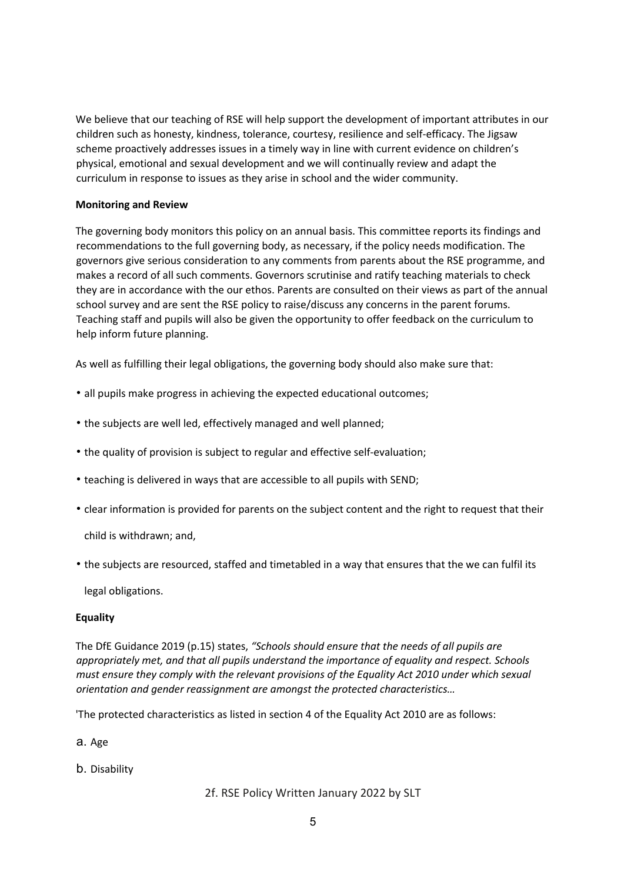We believe that our teaching of RSE will help support the development of important attributes in our children such as honesty, kindness, tolerance, courtesy, resilience and self-efficacy. The Jigsaw scheme proactively addresses issues in a timely way in line with current evidence on children's physical, emotional and sexual development and we will continually review and adapt the curriculum in response to issues as they arise in school and the wider community.

## **Monitoring and Review**

The governing body monitors this policy on an annual basis. This committee reports its findings and recommendations to the full governing body, as necessary, if the policy needs modification. The governors give serious consideration to any comments from parents about the RSE programme, and makes a record of all such comments. Governors scrutinise and ratify teaching materials to check they are in accordance with the our ethos. Parents are consulted on their views as part of the annual school survey and are sent the RSE policy to raise/discuss any concerns in the parent forums. Teaching staff and pupils will also be given the opportunity to offer feedback on the curriculum to help inform future planning.

As well as fulfilling their legal obligations, the governing body should also make sure that:

- all pupils make progress in achieving the expected educational outcomes;
- the subjects are well led, effectively managed and well planned;
- the quality of provision is subject to regular and effective self-evaluation;
- teaching is delivered in ways that are accessible to all pupils with SEND;
- clear information is provided for parents on the subject content and the right to request that their

child is withdrawn; and,

• the subjects are resourced, staffed and timetabled in a way that ensures that the we can fulfil its

legal obligations.

## **Equality**

The DfE Guidance 2019 (p.15) states, *"Schools should ensure that the needs of all pupils are appropriately met, and that all pupils understand the importance of equality and respect. Schools must ensure they comply with the relevant provisions of the Equality Act 2010 under which sexual orientation and gender reassignment are amongst the protected characteristics…* 

'The protected characteristics as listed in section 4 of the Equality Act 2010 are as follows:

a. Age

b. Disability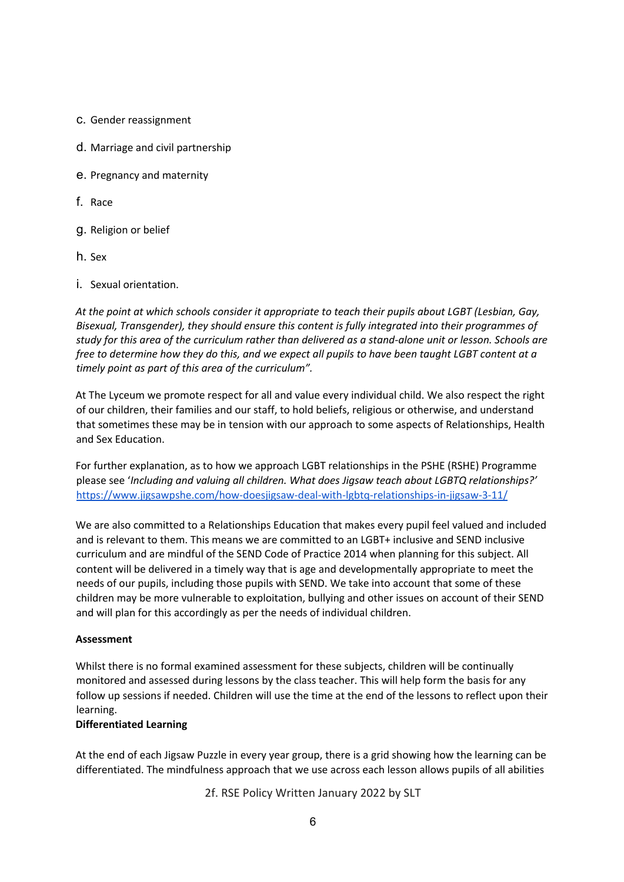- c. Gender reassignment
- d. Marriage and civil partnership
- e. Pregnancy and maternity
- f. Race
- g. Religion or belief
- h. Sex
- i. Sexual orientation.

*At the point at which schools consider it appropriate to teach their pupils about LGBT (Lesbian, Gay, Bisexual, Transgender), they should ensure this content is fully integrated into their programmes of study for this area of the curriculum rather than delivered as a stand-alone unit or lesson. Schools are free to determine how they do this, and we expect all pupils to have been taught LGBT content at a timely point as part of this area of the curriculum".* 

At The Lyceum we promote respect for all and value every individual child. We also respect the right of our children, their families and our staff, to hold beliefs, religious or otherwise, and understand that sometimes these may be in tension with our approach to some aspects of Relationships, Health and Sex Education.

For further explanation, as to how we approach LGBT relationships in the PSHE (RSHE) Programme please see '*Including and valuing all children. What does Jigsaw teach about LGBTQ relationships?'*  https://www.jigsawpshe.com/how-doesjigsaw-deal-with-lgbtq-relationships-in-jigsaw-3-11/

We are also committed to a Relationships Education that makes every pupil feel valued and included and is relevant to them. This means we are committed to an LGBT+ inclusive and SEND inclusive curriculum and are mindful of the SEND Code of Practice 2014 when planning for this subject. All content will be delivered in a timely way that is age and developmentally appropriate to meet the needs of our pupils, including those pupils with SEND. We take into account that some of these children may be more vulnerable to exploitation, bullying and other issues on account of their SEND and will plan for this accordingly as per the needs of individual children.

#### **Assessment**

Whilst there is no formal examined assessment for these subjects, children will be continually monitored and assessed during lessons by the class teacher. This will help form the basis for any follow up sessions if needed. Children will use the time at the end of the lessons to reflect upon their learning.

#### **Differentiated Learning**

At the end of each Jigsaw Puzzle in every year group, there is a grid showing how the learning can be differentiated. The mindfulness approach that we use across each lesson allows pupils of all abilities